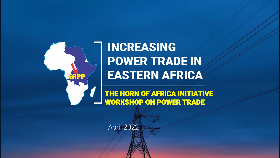

INCREASING POWER TRADE IN EASTERN AFRICA

THE HORN OF AFRICA INITIATIVE WORKSHOP ON POWER TRADE

April 2022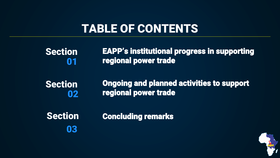# TABLE OF CONTENTS

| <b>Section</b> | <b>EAPP's institutional progress in supporting</b> |
|----------------|----------------------------------------------------|
| <b>N</b> 1     | regional power trade                               |
| <b>Section</b> | <b>Ongoing and planned activities to support</b>   |
| 02             | regional power trade                               |
| <b>Section</b> | <b>Concluding remarks</b>                          |

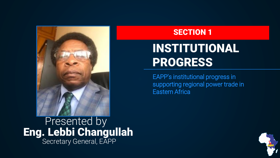

Presented by Eng. Lebbi Changullah Secretary General, EAPP

#### SECTION 1

# INSTITUTIONAL PROGRESS

EAPP's institutional progress in supporting regional power trade in Eastern Africa

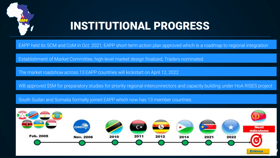

## INSTITUTIONAL PROGRESS

EAPP held its SCM and CoM in Oct. 2021; EAPP short-term action plan approved which is a roadmap to regional integration

Establishment of Market Committee, high-level market design finalized, Traders nominated

The market roadshow across 13 EAPP countries will kickstart on April 12, 2022

WB approved \$5M for preparatory studies for priority regional interconnectors and capacity building under HoA RISES project

South Sudan and Somalia formally joined EAPP which now has 13 member countries.

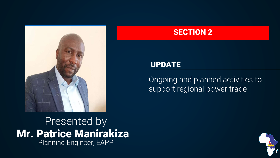

Presented by Mr. Patrice Manirakiza Planning Engineer, EAPP

#### SECTION 2

#### UPDATE

Ongoing and planned activities to support regional power trade

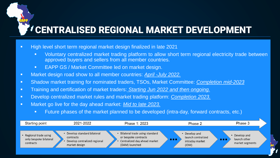### CENTRALISED REGIONAL MARKET DEVELOPMENT

- High level short term regional market design finalized in late 2021
	- **■** Voluntary centralized market trading platform to allow short term regional electricity trade between approved buyers and sellers from all member countries.
	- EAPP GS / Market Committee led on market design.
- Market design road show to all member countries: *April -July 2022.*
- Shadow market training for nominated traders, TSOs, Market Committee: *Completion mid-2023*
- Training and certification of market traders: *Starting Jun 2022 and then ongoing.*
- Develop centralized market rules and market trading platform: *Completion 2023.*
- Market go live for the day ahead market: *Mid to late 2023.*
	- **EXECT** Future phases of the market planned to be developed (intra-day, forward contracts, etc.)

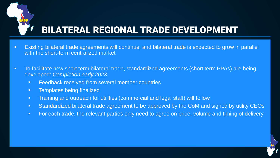

### BILATERAL REGIONAL TRADE DEVELOPMENT

- Existing bilateral trade agreements will continue, and bilateral trade is expected to grow in parallel with the short-term centralized market
- To facilitate new short term bilateral trade, standardized agreements (short term PPAs) are being developed: *Completion early 2023* 
	- Feedback received from several member countries
	- **•** Templates being finalized
	- **EXEDENT** Training and outreach for utilities (commercial and legal staff) will follow
	- Standardized bilateral trade agreement to be approved by the CoM and signed by utility CEOs
	- **EXED For each trade, the relevant parties only need to agree on price, volume and timing of delivery**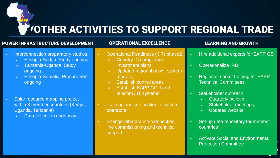## OTHER ACTIVITIES TO SUPPORT REGIONAL TRADE

#### POWER INFRASTRUCTURE DEVELOPMENT

#### OPERATIONAL EXCELLENCE

- **Interconnection preparatory studies:** 
	- ➢ Ethiopia-Sudan: Study ongoing
	- ➢ Tanzania-Uganda: Study ongoing
	- ➢ Ethiopia-Somalia: Procurement ongoing
- Solar resource mapping project within 3 member countries (Kenya, Uganda, Tanzania)
	- ➢ Data collection underway
- Operational Readiness (OR) phase2
	- ➢ Country IC compliance investment plans
	- ➢ Updated regional power system models,
	- ➢ Establish control areas
	- ➢ Establish EAPP GCU and telecom / IT systems
- **•** Training and certification of system operators
- **Shango-Mbarara interconnection** line commissioning and technical support

#### LEARNING AND GROWTH

- Hire additional experts for EAPP GS
- **Operationalize IRB**
- **Regional market training for EAPP** Technical Committees.
- Stakeholder outreach:
	- Quarterly bulletin,
	- Stakeholder meetings,
	- ➢ Updated website
- Set-up data repository for member countries
- **Activate Social and Environmental** Protection Committee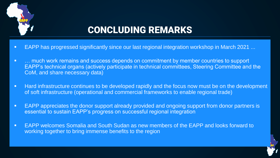

### CONCLUDING REMARKS

- EAPP has progressed significantly since our last regional integration workshop in March 2021 ...
- … much work remains and success depends on commitment by member countries to support EAPP's technical organs (actively participate in technical committees, Steering Committee and the CoM, and share necessary data)
- **EXT** Hard infrastructure continues to be developed rapidly and the focus now must be on the development of soft infrastructure (operational and commercial frameworks to enable regional trade)
- EAPP appreciates the donor support already provided and ongoing support from donor partners is essential to sustain EAPP's progress on successful regional integration
- EAPP welcomes Somalia and South Sudan as new members of the EAPP and looks forward to working together to bring immense benefits to the region